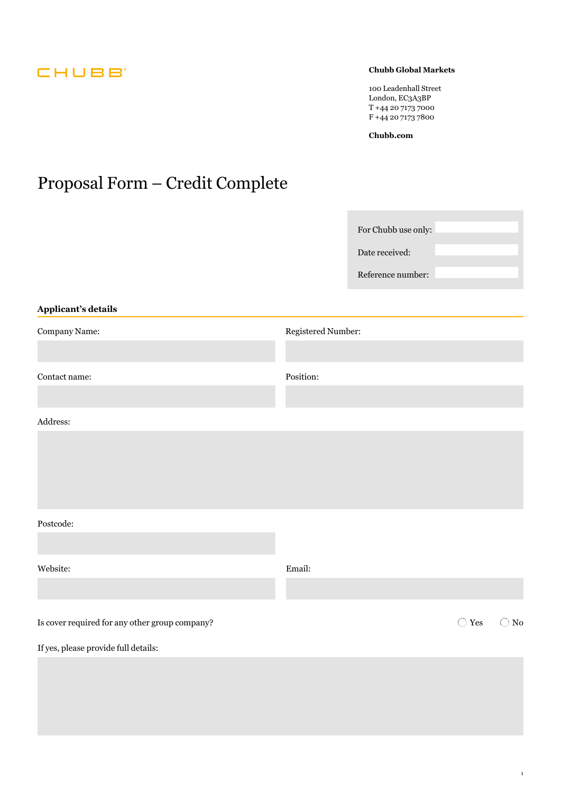# CHUBB<sup>®</sup>

### **Chubb Global Markets**

100 Leadenhall Street London, EC3A3BP T +44 20 7173 7000 F +44 20 7173 7800

**[Chubb.com](https://Chubb.com)** 

# Proposal Form – Credit Complete

| Applicant's details                            |                    | For Chubb use only:<br>Date received:<br>Reference number: |                |               |
|------------------------------------------------|--------------------|------------------------------------------------------------|----------------|---------------|
| Company Name:                                  | Registered Number: |                                                            |                |               |
|                                                |                    |                                                            |                |               |
| Contact name:                                  | Position:          |                                                            |                |               |
|                                                |                    |                                                            |                |               |
| Address:                                       |                    |                                                            |                |               |
|                                                |                    |                                                            |                |               |
|                                                |                    |                                                            |                |               |
| Postcode:                                      |                    |                                                            |                |               |
|                                                |                    |                                                            |                |               |
| Website:                                       | Email:             |                                                            |                |               |
|                                                |                    |                                                            |                |               |
| Is cover required for any other group company? |                    |                                                            | $\bigcirc$ Yes | $\bigcirc$ No |
| If yes, please provide full details:           |                    |                                                            |                |               |
|                                                |                    |                                                            |                |               |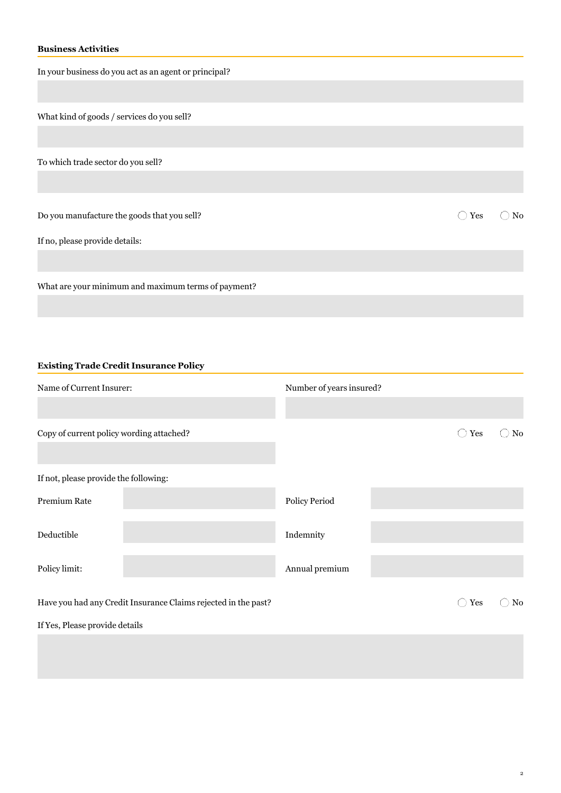# **Business Activities**

| In your business do you act as an agent or principal? |     |                |
|-------------------------------------------------------|-----|----------------|
|                                                       |     |                |
| What kind of goods / services do you sell?            |     |                |
|                                                       |     |                |
| To which trade sector do you sell?                    |     |                |
|                                                       |     |                |
| Do you manufacture the goods that you sell?           | Yes | N <sub>0</sub> |
| If no, please provide details:                        |     |                |
|                                                       |     |                |
| What are your minimum and maximum terms of payment?   |     |                |

### **Existing Trade Credit Insurance Policy**

| Name of Current Insurer:                 |                                                                | Number of years insured? |                |    |
|------------------------------------------|----------------------------------------------------------------|--------------------------|----------------|----|
| Copy of current policy wording attached? |                                                                |                          | Yes<br>$( \ )$ | No |
|                                          |                                                                |                          |                |    |
| If not, please provide the following:    |                                                                |                          |                |    |
| Premium Rate                             |                                                                | Policy Period            |                |    |
| Deductible                               |                                                                | Indemnity                |                |    |
| Policy limit:                            |                                                                | Annual premium           |                |    |
|                                          | Have you had any Credit Insurance Claims rejected in the past? |                          | Yes<br>$\Box$  | No |
| If Yes, Please provide details           |                                                                |                          |                |    |
|                                          |                                                                |                          |                |    |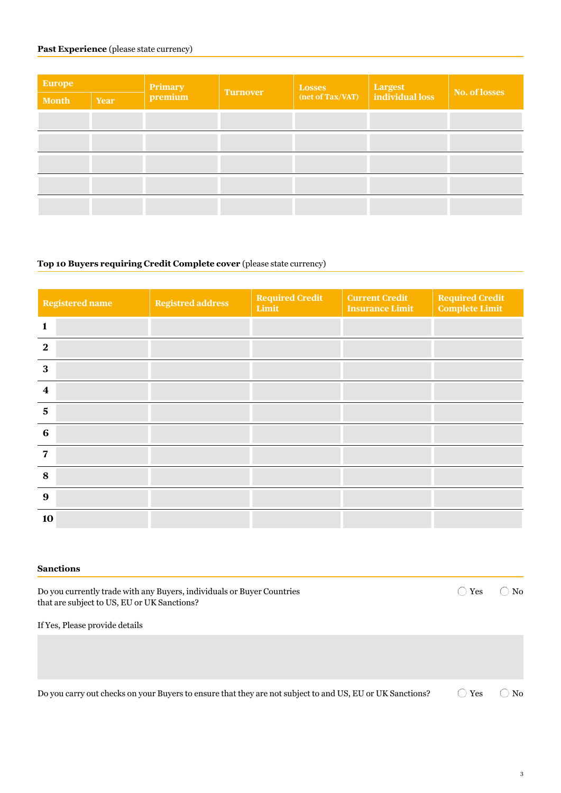## Past Experience (please state currency)

| <b>Europe</b> |             |         | <b>Turnover</b> | <b>Losses</b><br>(net of Tax/VAT) | $\begin{array}{ l } \hline \textbf{Largest} \\ \hline \textbf{individual loss} \end{array}$ | No. of losses |
|---------------|-------------|---------|-----------------|-----------------------------------|---------------------------------------------------------------------------------------------|---------------|
| <b>Month</b>  | <b>Year</b> | Primary |                 |                                   |                                                                                             |               |
|               |             |         |                 |                                   |                                                                                             |               |
|               |             |         |                 |                                   |                                                                                             |               |
|               |             |         |                 |                                   |                                                                                             |               |
|               |             |         |                 |                                   |                                                                                             |               |
|               |             |         |                 |                                   |                                                                                             |               |

#### **Top 10 Buyers requiring Credit Complete cover** (please state currency)

| <b>Registered name</b> | <b>Registred address</b> | <b>Required Credit</b><br>Limit | <b>Current Credit</b><br><b>Insurance Limit</b> | <b>Required Credit</b><br><b>Complete Limit</b> |
|------------------------|--------------------------|---------------------------------|-------------------------------------------------|-------------------------------------------------|
| $\mathbf{1}$           |                          |                                 |                                                 |                                                 |
| $\mathbf{2}$           |                          |                                 |                                                 |                                                 |
| 3                      |                          |                                 |                                                 |                                                 |
| 4                      |                          |                                 |                                                 |                                                 |
| 5                      |                          |                                 |                                                 |                                                 |
| 6                      |                          |                                 |                                                 |                                                 |
| 7                      |                          |                                 |                                                 |                                                 |
| 8                      |                          |                                 |                                                 |                                                 |
| 9                      |                          |                                 |                                                 |                                                 |
| 10                     |                          |                                 |                                                 |                                                 |

#### **Sanctions**

Do you currently trade with any Buyers, individuals or Buyer Countries that are subject to US, EU or UK Sanctions?

 $\bigcirc$  Yes  $\bigcirc$  No

If Yes, Please provide details

 $\bigcirc$  Yes Do you carry out checks on your Buyers to ensure that they are not subject to and US, EU or UK Sanctions?  $\bigcirc$  Yes  $\bigcirc$  No